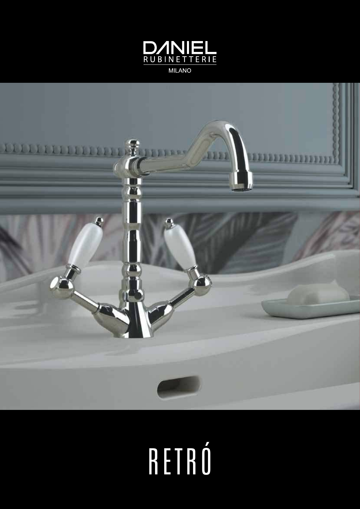



# RETRÓ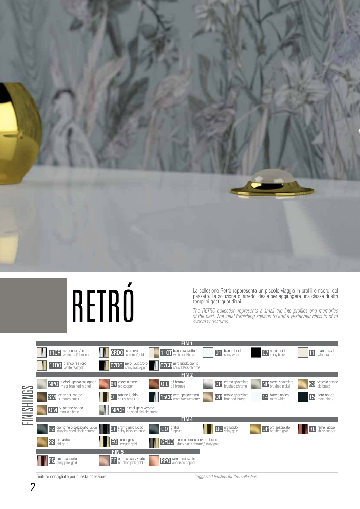

# La collezione Retrò rappresenta un piccolo viaggio in profili e ricordi del passato. La soluzione di arredo ideale per aggiungere una classe di altri<br>tempi ai gesti quotidiani.<br>The RETRO collection represents a small trip

passato. La soluzione di arredo ideale per aggiungere una classe di altri tempi ai gesti quotidiani.

*The RETRO collection represents a small trip into profiles and memories of the past. The ideal furnishing solution to add a yesteryear class to of to everyday gestures.* 

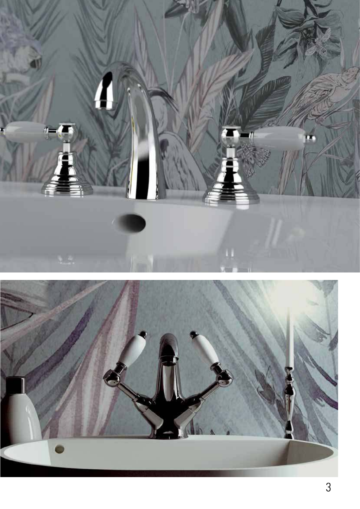

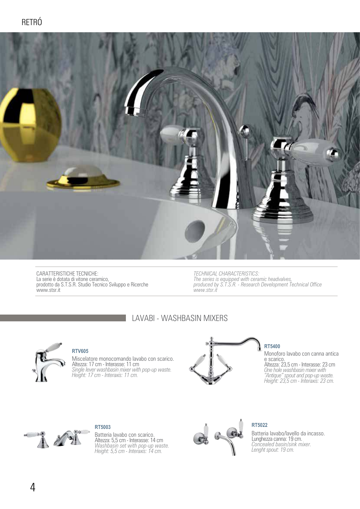

CARATTERISTICHE TECNICHE: La serie è dotata di vitone ceramico, prodotto da S.T.S.R. Studio Tecnico Sviluppo e Ricerche www.stsr.it

*TECHNICAL CHARACTERISTICS: The series is equipped with ceramic headvalves, produced by S.T.S.R. - Research Development Technical Office www.stsr.it*

# LAVABI - WASHBASIN MIXERS



## **RTV605**

Miscelatore monocomando lavabo con scarico. Altezza: 17 cm - Interasse: 11 cm *Single lever washbasin mixer with pop-up waste. Height: 17 cm - Interaxis: 11 cm.*



Monoforo lavabo con canna antica e scarico. Altezza: 23,5 cm - Interasse: 23 cm *One hole washbasin mixer with "Antique" spout and pop-up waste. Height: 23,5 cm - Interaxis: 23 cm.* **RT5400**



Batteria lavabo con scarico. Altezza: 5,5 cm - Interasse: 14 cm *Washbasin set with pop-up waste. Height: 5,5 cm - Interaxis: 14 cm.*



Batteria lavabo/lavello da incasso. Lunghezza canna: 19 cm. *Concealed basin/sink mixer. Lenght spout: 19 cm.*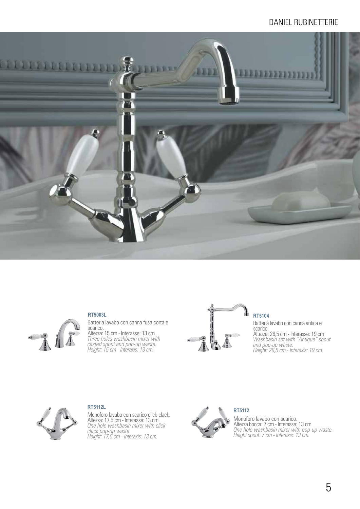# DANIEL RUBINETTERIE





Batteria lavabo con canna fusa corta e scarico.

Altezza: 15 cm - Interasse: 13 cm *Three holes washbasin mixer with casted spout and pop-up waste. Height: 15 cm - Interaxis: 13 cm.*



Batteria lavabo con canna antica e scarico. Altezza: 26,5 cm - Interasse: 19 cm *Washbasin set with "Antique" spout and pop-up waste. Height: 26,5 cm - Interaxis: 19 cm.*



Monoforo lavabo con scarico click-clack. Altezza: 17,5 cm - Interasse: 13 cm *One hole washbasin mixer with clickclack pop-up waste. Height: 17,5 cm - Interaxis: 13 cm.*



Monoforo lavabo con scarico. Altezza bocca: 7 cm - Interasse: 13 cm *One hole washbasin mixer with pop-up waste. Height spout: 7 cm - Interaxis: 13 cm.*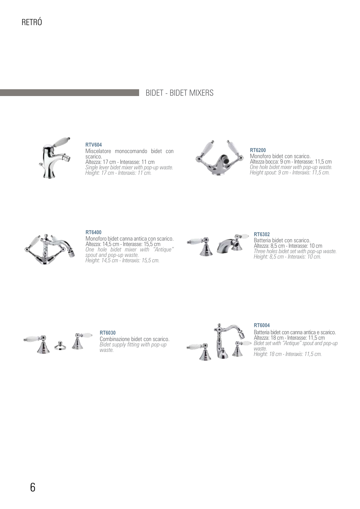# BIDET - BIDET MIXERS



## **RTV604**

Miscelatore monocomando bidet con scarico. Altezza: 17 cm - Interasse: 11 cm *Single lever bidet mixer with pop-up waste. Height: 17 cm - Interaxis: 11 cm.*



Monoforo bidet con scarico. Altezza bocca: 9 cm - Interasse: 11,5 cm *One hole bidet mixer with pop-up waste. Height spout: 9 cm - Interaxis: 11,5 cm.* **RT6200**



### **RT6400**

Monoforo bidet canna antica con scarico. Altezza: 14,5 cm - Interasse: 15,5 cm *One hole bidet mixer with "Antique" spout and pop-up waste. Height: 14,5 cm - Interaxis: 15,5 cm.*



Batteria bidet con scarico. Altezza: 8,5 cm - Interasse: 10 cm *Three holes bidet set with pop-up waste. Height: 8,5 cm - Interaxis: 10 cm.* **RT6302**



#### **RT6030**

Combinazione bidet con scarico. *Bidet supply fitting with pop-up waste.*



### **RT6004**

Batteria bidet con canna antica e scarico. Altezza: 18 cm - Interasse: 11,5 cm *Bidet set with "Antique" spout and pop-up waste.*

*Height: 18 cm - Interaxis: 11,5 cm.*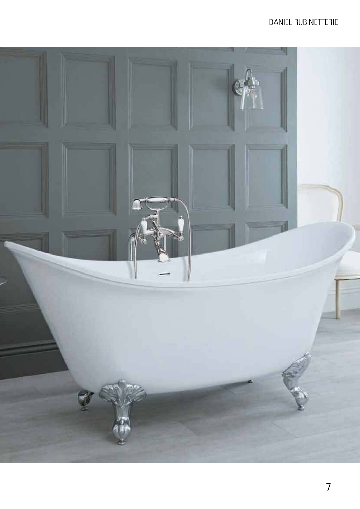# DANIEL RUBINETTERIE

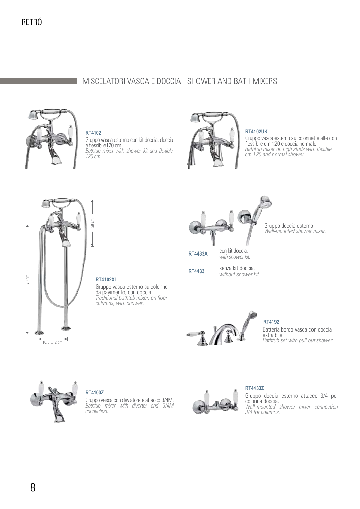# MISCELATORI VASCA E DOCCIA - SHOWER AND BATH MIXERS



Gruppo vasca esterno con kit doccia, doccia e flessibile120 cm. *Bathtub mixer with shower kit and flexible 120 cm*



Gruppo vasca esterno su colonnette alte con flessibile cm 120 e doccia normale. *Bathtub mixer on high studs with flexible cm 120 and normal shower.*



#### **RT4102XL**

v

Gruppo vasca esterno su colonne da pavimento, con doccia. *Traditional bathtub mixer, on floor columns, with shower.*



Gruppo doccia esterno. *Wall-mounted shower mixer.*

**RT4433A** con kit doccia. *with shower kit.*

**RT4433** senza kit doccia. *without shower kit.*



## **RT4192**

Batteria bordo vasca con doccia estraibile. *Bathtub set with pull-out shower.*



## **RT4100Z**

Gruppo vasca con deviatore e attacco 3/4M. *Bathtub mixer with diverter and 3/4M connection.*



## **RT4433Z**

Gruppo doccia esterno attacco 3/4 per colonna doccia. *Wall-mounted shower mixer connection 3/4 for columns.*

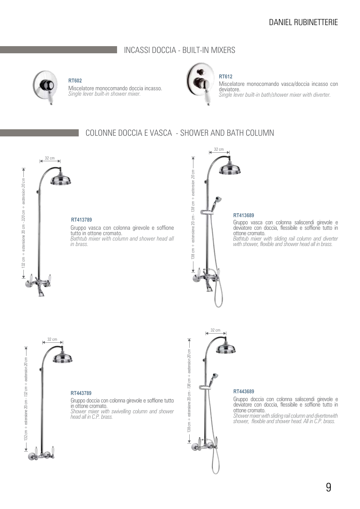# DANIEL RUBINETTERIE

# INCASSI DOCCIA - BUILT-IN MIXERS



### Miscelatore monocomando doccia incasso. *Single lever built-in shower mixer.* **RT602**



Miscelatore monocomando vasca/doccia incasso con deviatore. *Single lever built-in bath/shower mixer with diverter.*

# COLONNE DOCCIA E VASCA - SHOWER AND BATH COLUMN

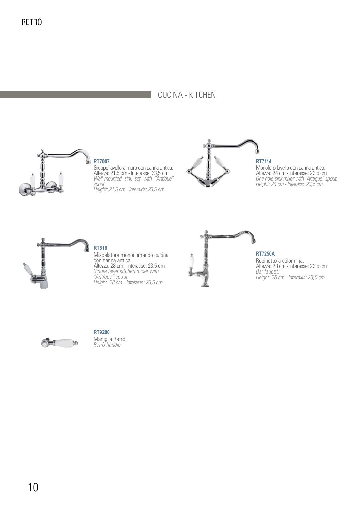# CUCINA - KITCHEN



#### **RT7007** δ'n

Gruppo lavello a muro con canna antica. Altezza: 21,5 cm - Interasse: 23,5 cm *Wall-mounted sink set with "Antique" spout. Height: 21,5 cm - Interaxis: 23,5 cm.*



## **RT7114**

Monoforo lavello con canna antica. Altezza: 24 cm - Interasse: 23,5 cm *One hole sink mixer with "Antique" spout. Height: 24 cm - Interaxis: 23,5 cm.*



## **RT618**

Miscelatore monocomando cucina con canna antica. Altezza: 28 cm - Interasse: 23,5 cm *Single lever kitchen mixer with "Antique" spout. Height: 28 cm - Interaxis: 23,5 cm.*



# **RT7250A**

Rubinetto a colonnina. Altezza: 28 cm - Interasse: 23,5 cm *Bar faucet. Height: 28 cm - Interaxis: 23,5 cm.*



Maniglia Retrò. *Retrò handle.* **RT9200**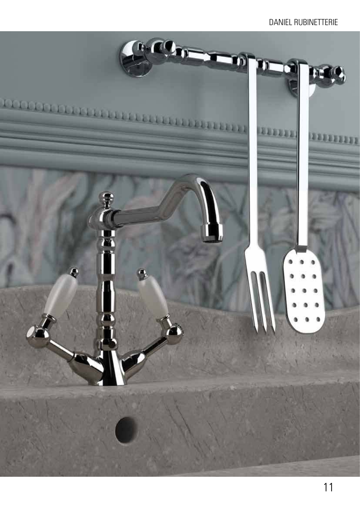